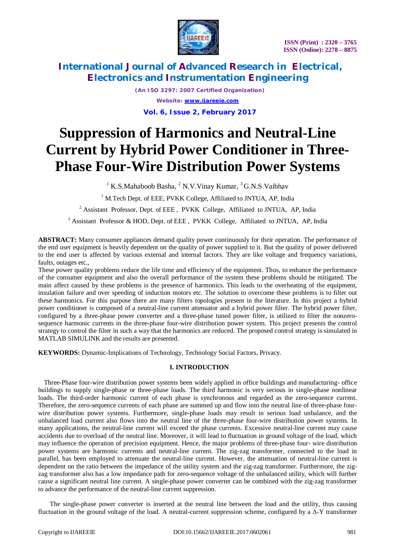

*(An ISO 3297: 2007 Certified Organization) Website: [www.ijareeie.com](http://www.ijareeie.com)* **Vol. 6, Issue 2, February 2017**

# **Suppression of Harmonics and Neutral-Line Current by Hybrid Power Conditioner in Three-Phase Four-Wire Distribution Power Systems**

 $1 K.S.Mahaboob Basha, 2 N.V.Vinay Kumar, 3 G.N.S Vaibhav$ 

<sup>1</sup> M.Tech Dept. of EEE, PVKK College, Affiliated to JNTUA, AP, India

<sup>2</sup> Assistant Professor, Dept. of EEE, PVKK College, Affiliated to JNTUA, AP, India

<sup>3</sup> Assistant Professor & HOD, Dept. of EEE, PVKK College, Affiliated to JNTUA, AP, India

**ABSTRACT:** Many consumer appliances demand quality power continuously for their operation. The performance of the end user equipment is heavily dependent on the quality of power supplied to it. But the quality of power delivered to the end user is affected by various external and internal factors. They are like voltage and frequency variations, faults, outages etc.,

These power quality problems reduce the life time and efficiency of the equipment. Thus, to enhance the performance of the consumer equipment and also the overall performance of the system these problems should be mitigated. The main affect caused by these problems is the presence of harmonics. This leads to the overheating of the equipment, insulation failure and over speeding of induction motors etc. The solution to overcome these problems is to filter out these harmonics. For this purpose there are many filters topologies present in the literature. In this project a hybrid power conditioner is composed of a neutral-line current attenuator and a hybrid power filter. The hybrid power filter, configured by a three-phase power converter and a three-phase tuned power filter, is utilized to filter the nonzerosequence harmonic currents in the three-phase four-wire distribution power system. This project presents the control strategy to control the filter in such a way that the harmonics are reduced. The proposed control strategy is simulated in MATLAB SIMULINK and the results are presented.

**KEYWORDS:** Dynamic-Implications of Technology, Technology Social Factors, Privacy.

### **I. INTRODUCTION**

Three-Phase four-wire distribution power systems been widely applied in office buildings and manufacturing- office buildings to supply single-phase or three-phase loads. The third harmonic is very serious in single-phase nonlinear loads. The third-order harmonic current of each phase is synchronous and regarded as the zero-sequence current. Therefore, the zero-sequence currents of each phase are summed up and flow into the neutral line of three-phase fourwire distribution power systems. Furthermore, single-phase loads may result in serious load unbalance, and the unbalanced load current also flows into the neutral line of the three-phase four-wire distribution power systems. In many applications, the neutral-line current will exceed the phase currents. Excessive neutral-line current may cause accidents due to overload of the neutral line. Moreover, it will lead to fluctuation in ground voltage of the load, which may influence the operation of precision equipment. Hence, the major problems of three-phase four- wire distribution power systems are harmonic currents and neutral-line current. The zig-zag transformer, connected to the load in parallel, has been employed to attenuate the neutral-line current. However, the attenuation of neutral-line current is dependent on the ratio between the impedance of the utility system and the zig-zag transformer. Furthermore, the zigzag transformer also has a low impedance path for zero-sequence voltage of the unbalanced utility, which will further cause a significant neutral line current. A single-phase power converter can be combined with the zig-zag transformer to advance the performance of the neutral-line current suppression.

The single-phase power converter is inserted at the neutral line between the load and the utility, thus causing fluctuation in the ground voltage of the load. A neutral-current suppression scheme, configured by a Δ-Y transformer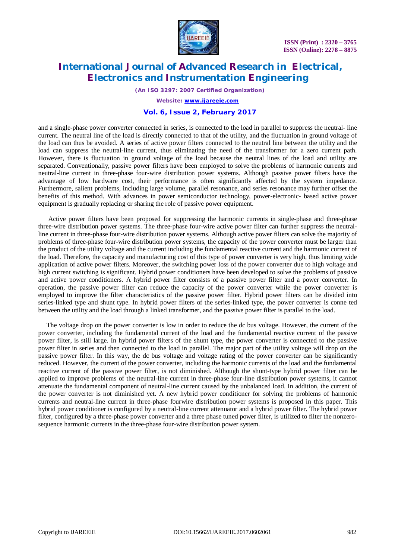

*(An ISO 3297: 2007 Certified Organization)*

*Website: [www.ijareeie.com](http://www.ijareeie.com)*

### **Vol. 6, Issue 2, February 2017**

and a single-phase power converter connected in series, is connected to the load in parallel to suppress the neutral- line current. The neutral line of the load is directly connected to that of the utility, and the fluctuation in ground voltage of the load can thus be avoided. A series of active power filters connected to the neutral line between the utility and the load can suppress the neutral-line current, thus eliminating the need of the transformer for a zero current path. However, there is fluctuation in ground voltage of the load because the neutral lines of the load and utility are separated. Conventionally, passive power filters have been employed to solve the problems of harmonic currents and neutral-line current in three-phase four-wire distribution power systems. Although passive power filters have the advantage of low hardware cost, their performance is often significantly affected by the system impedance. Furthermore, salient problems, including large volume, parallel resonance, and series resonance may further offset the benefits of this method. With advances in power semiconductor technology, power-electronic- based active power equipment is gradually replacing or sharing the role of passive power equipment.

Active power filters have been proposed for suppressing the harmonic currents in single-phase and three-phase three-wire distribution power systems. The three-phase four-wire active power filter can further suppress the neutralline current in three-phase four-wire distribution power systems. Although active power filters can solve the majority of problems of three-phase four-wire distribution power systems, the capacity of the power converter must be larger than the product of the utility voltage and the current including the fundamental reactive current and the harmonic current of the load. Therefore, the capacity and manufacturing cost of this type of power converter is very high, thus limiting wide application of active power filters. Moreover, the switching power loss of the power converter due to high voltage and high current switching is significant. Hybrid power conditioners have been developed to solve the problems of passive and active power conditioners. A hybrid power filter consists of a passive power filter and a power converter. In operation, the passive power filter can reduce the capacity of the power converter while the power converter is employed to improve the filter characteristics of the passive power filter. Hybrid power filters can be divided into series-linked type and shunt type. In hybrid power filters of the series-linked type, the power converter is conne ted between the utility and the load through a linked transformer, and the passive power filter is parallel to the load.

The voltage drop on the power converter is low in order to reduce the dc bus voltage. However, the current of the power converter, including the fundamental current of the load and the fundamental reactive current of the passive power filter, is still large. In hybrid power filters of the shunt type, the power converter is connected to the passive power filter in series and then connected to the load in parallel. The major part of the utility voltage will drop on the passive power filter. In this way, the dc bus voltage and voltage rating of the power converter can be significantly reduced. However, the current of the power converter, including the harmonic currents of the load and the fundamental reactive current of the passive power filter, is not diminished. Although the shunt-type hybrid power filter can be applied to improve problems of the neutral-line current in three-phase four-line distribution power systems, it cannot attenuate the fundamental component of neutral-line current caused by the unbalanced load. In addition, the current of the power converter is not diminished yet. A new hybrid power conditioner for solving the problems of harmonic currents and neutral-line current in three-phase fourwire distribution power systems is proposed in this paper. This hybrid power conditioner is configured by a neutral-line current attenuator and a hybrid power filter. The hybrid power filter, configured by a three-phase power converter and a three phase tuned power filter, is utilized to filter the nonzerosequence harmonic currents in the three-phase four-wire distribution power system.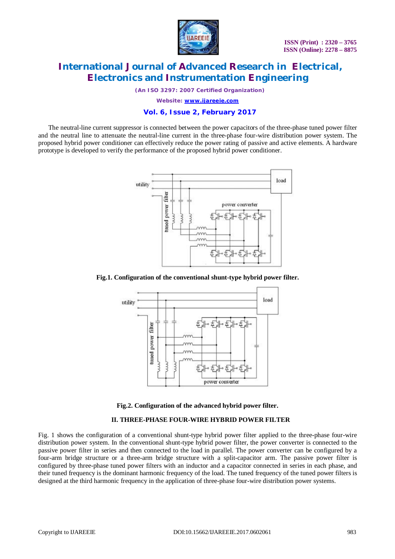

*(An ISO 3297: 2007 Certified Organization)*

*Website: [www.ijareeie.com](http://www.ijareeie.com)*

### **Vol. 6, Issue 2, February 2017**

The neutral-line current suppressor is connected between the power capacitors of the three-phase tuned power filter and the neutral line to attenuate the neutral-line current in the three-phase four-wire distribution power system. The proposed hybrid power conditioner can effectively reduce the power rating of passive and active elements. A hardware prototype is developed to verify the performance of the proposed hybrid power conditioner.



**Fig.1. Configuration of the conventional shunt-type hybrid power filter.**





#### **II. THREE-PHASE FOUR-WIRE HYBRID POWER FILTER**

Fig. 1 shows the configuration of a conventional shunt-type hybrid power filter applied to the three-phase four-wire distribution power system. In the conventional shunt-type hybrid power filter, the power converter is connected to the passive power filter in series and then connected to the load in parallel. The power converter can be configured by a four-arm bridge structure or a three-arm bridge structure with a split-capacitor arm. The passive power filter is configured by three-phase tuned power filters with an inductor and a capacitor connected in series in each phase, and their tuned frequency is the dominant harmonic frequency of the load. The tuned frequency of the tuned power filters is designed at the third harmonic frequency in the application of three-phase four-wire distribution power systems.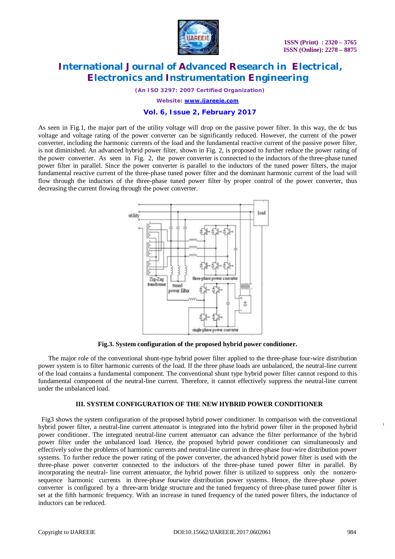

*(An ISO 3297: 2007 Certified Organization)*

*Website: [www.ijareeie.com](http://www.ijareeie.com)*

### **Vol. 6, Issue 2, February 2017**

As seen in Fig.1, the major part of the utility voltage will drop on the passive power filter. In this way, the dc bus voltage and voltage rating of the power converter can be significantly reduced. However, the current of the power converter, including the harmonic currents of the load and the fundamental reactive current of the passive power filter, is not diminished. An advanced hybrid power filter, shown in Fig. 2, is proposed to further reduce the power rating of the power converter. As seen in Fig. 2, the power converter is connected to the inductors of the three-phase tuned power filter in parallel. Since the power converter is parallel to the inductors of the tuned power filters, the major fundamental reactive current of the three-phase tuned power filter and the dominant harmonic current of the load will flow through the inductors of the three-phase tuned power filter by proper control of the power converter, thus decreasing the current flowing through the power converter.



**Fig.3. System configuration of the proposed hybrid power conditioner.**

The major role of the conventional shunt-type hybrid power filter applied to the three-phase four-wire distribution power system is to filter harmonic currents of the load. If the three phase loads are unbalanced, the neutral-line current of the load contains a fundamental component. The conventional shunt type hybrid power filter cannot respond to this fundamental component of the neutral-line current. Therefore, it cannot effectively suppress the neutral-line current under the unbalanced load.

#### **III. SYSTEM CONFIGURATION OF THE NEW HYBRID POWER CONDITIONER**

Fig3 shows the system configuration of the proposed hybrid power conditioner. In comparison with the conventional hybrid power filter, a neutral-line current attenuator is integrated into the hybrid power filter in the proposed hybrid power conditioner. The integrated neutral-line current attenuator can advance the filter performance of the hybrid power filter under the unbalanced load. Hence, the proposed hybrid power conditioner can simultaneously and effectively solve the problems of harmonic currents and neutral-line current in three-phase four-wire distribution power systems. To further reduce the power rating of the power converter, the advanced hybrid power filter is used with the three-phase power converter connected to the inductors of the three-phase tuned power filter in parallel. By incorporating the neutral- line current attenuator, the hybrid power filter is utilized to suppress only the nonzerosequence harmonic currents in three-phase fourwire distribution power systems. Hence, the three-phase power converter is configured by a three-arm bridge structure and the tuned frequency of three-phase tuned power filter is set at the fifth harmonic frequency. With an increase in tuned frequency of the tuned power filters, the inductance of inductors can be reduced.

**(**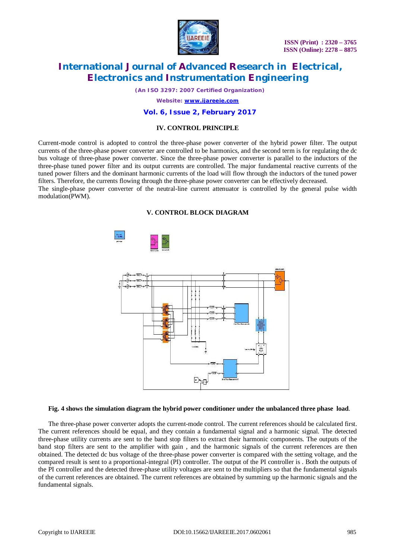

*(An ISO 3297: 2007 Certified Organization)*

*Website: [www.ijareeie.com](http://www.ijareeie.com)*

### **Vol. 6, Issue 2, February 2017**

### **IV. CONTROL PRINCIPLE**

Current-mode control is adopted to control the three-phase power converter of the hybrid power filter. The output currents of the three-phase power converter are controlled to be harmonics, and the second term is for regulating the dc bus voltage of three-phase power converter. Since the three-phase power converter is parallel to the inductors of the three-phase tuned power filter and its output currents are controlled. The major fundamental reactive currents of the tuned power filters and the dominant harmonic currents of the load will flow through the inductors of the tuned power filters. Therefore, the currents flowing through the three-phase power converter can be effectively decreased.

The single-phase power converter of the neutral-line current attenuator is controlled by the general pulse width modulation(PWM).

#### **V. CONTROL BLOCK DIAGRAM**



#### **Fig. 4 shows the simulation diagram the hybrid power conditioner under the unbalanced three phase load**.

The three-phase power converter adopts the current-mode control. The current references should be calculated first. The current references should be equal, and they contain a fundamental signal and a harmonic signal. The detected three-phase utility currents are sent to the band stop filters to extract their harmonic components. The outputs of the band stop filters are sent to the amplifier with gain , and the harmonic signals of the current references are then obtained. The detected dc bus voltage of the three-phase power converter is compared with the setting voltage, and the compared result is sent to a proportional-integral (PI) controller. The output of the PI controller is . Both the outputs of the PI controller and the detected three-phase utility voltages are sent to the multipliers so that the fundamental signals of the current references are obtained. The current references are obtained by summing up the harmonic signals and the fundamental signals.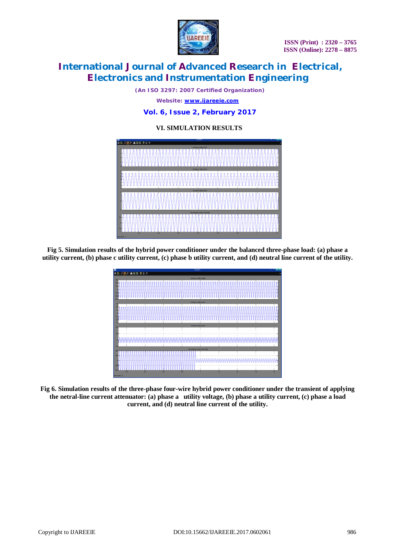**ISSN (Print) : 2320 – 3765 ISSN (Online): 2278 – 8875**



# **International Journal of Advanced Research in Electrical, Electronics and Instrumentation Engineering**

*(An ISO 3297: 2007 Certified Organization)*

*Website: [www.ijareeie.com](http://www.ijareeie.com)*

### **Vol. 6, Issue 2, February 2017**

# **VI. SIMULATION RESULTS**



**Fig 5. Simulation results of the hybrid power conditioner under the balanced three-phase load: (a) phase a utility current, (b) phase c utility current, (c) phase b utility current, and (d) neutral line current of the utility.**



**Fig 6. Simulation results of the three-phase four-wire hybrid power conditioner under the transient of applying the netral-line current attenuator: (a) phase a utility voltage, (b) phase a utility current, (c) phase a load current, and (d) neutral line current of the utility.**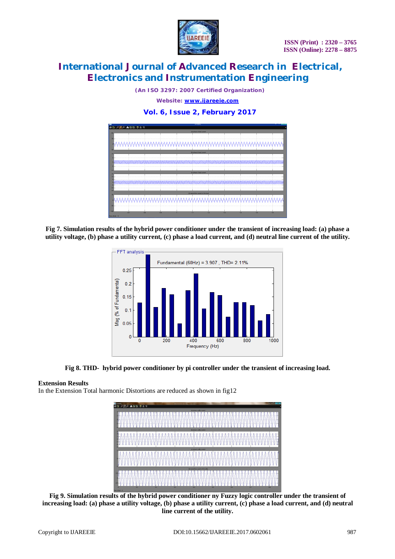

*(An ISO 3297: 2007 Certified Organization)*

*Website: [www.ijareeie.com](http://www.ijareeie.com)*

## **Vol. 6, Issue 2, February 2017**



**Fig 7. Simulation results of the hybrid power conditioner under the transient of increasing load: (a) phase a utility voltage, (b) phase a utility current, (c) phase a load current, and (d) neutral line current of the utility.**



#### **Fig 8. THD- hybrid power conditioner by pi controller under the transient of increasing load.**

#### **Extension Results**

In the Extension Total harmonic Distortions are reduced as shown in fig12



**Fig 9. Simulation results of the hybrid power conditioner ny Fuzzy logic controller under the transient of increasing load: (a) phase a utility voltage, (b) phase a utility current, (c) phase a load current, and (d) neutral line current of the utility.**